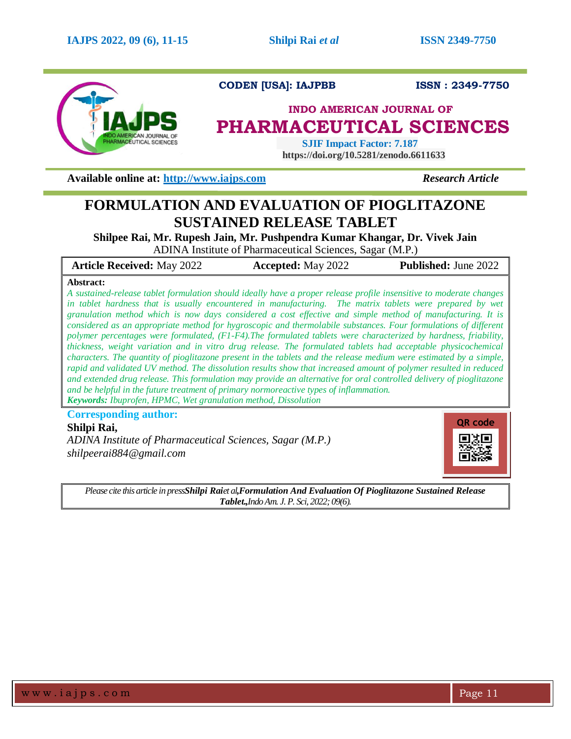

**CODEN [USA]: IAJPBB ISSN : 2349-7750** 

# **INDO AMERICAN JOURNAL OF PHARMACEUTICAL SCIENCES**

 **SJIF Impact Factor: 7.187 https://doi.org/10.5281/zenodo.6611633**

**Available online at: [http://www.iajps.com](http://www.iajps.com/)** *Research Article*

# **FORMULATION AND EVALUATION OF PIOGLITAZONE SUSTAINED RELEASE TABLET**

**Shilpee Rai, Mr. Rupesh Jain, Mr. Pushpendra Kumar Khangar, Dr. Vivek Jain** ADINA Institute of Pharmaceutical Sciences, Sagar (M.P.)

**Article Received:** May 2022 **Accepted:** May 2022 **Published:** June 2022

#### **Abstract:**

*A sustained-release tablet formulation should ideally have a proper release profile insensitive to moderate changes*  in tablet hardness that is usually encountered in manufacturing. The matrix tablets were prepared by wet *granulation method which is now days considered a cost effective and simple method of manufacturing. It is considered as an appropriate method for hygroscopic and thermolabile substances. Four formulations of different polymer percentages were formulated, (F1-F4).The formulated tablets were characterized by hardness, friability, thickness, weight variation and in vitro drug release. The formulated tablets had acceptable physicochemical characters. The quantity of pioglitazone present in the tablets and the release medium were estimated by a simple, rapid and validated UV method. The dissolution results show that increased amount of polymer resulted in reduced and extended drug release. This formulation may provide an alternative for oral controlled delivery of pioglitazone and be helpful in the future treatment of primary normoreactive types of inflammation. Keywords: Ibuprofen, HPMC, Wet granulation method, Dissolution*

**Corresponding author: Shilpi Rai,**

*ADINA Institute of Pharmaceutical Sciences, Sagar (M.P.) shilpeerai884@gmail.com*



*Please cite this article in pressShilpi Raiet al,Formulation And Evaluation Of Pioglitazone Sustained Release Tablet.,Indo Am. J. P. Sci, 2022; 09(6).*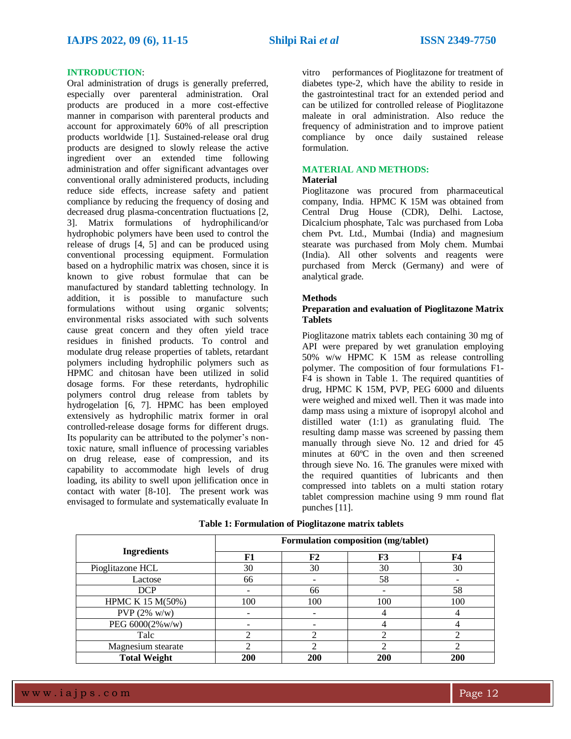#### **INTRODUCTION**:

Oral administration of drugs is generally preferred, especially over parenteral administration. Oral products are produced in a more cost-effective manner in comparison with parenteral products and account for approximately 60% of all prescription products worldwide [1]. Sustained-release oral drug products are designed to slowly release the active ingredient over an extended time following administration and offer significant advantages over conventional orally administered products, including reduce side effects, increase safety and patient compliance by reducing the frequency of dosing and decreased drug plasma-concentration fluctuations [2, 3]. Matrix formulations of hydrophilicand/or hydrophobic polymers have been used to control the release of drugs [4, 5] and can be produced using conventional processing equipment. Formulation based on a hydrophilic matrix was chosen, since it is known to give robust formulae that can be manufactured by standard tabletting technology. In addition, it is possible to manufacture such formulations without using organic solvents; environmental risks associated with such solvents cause great concern and they often yield trace residues in finished products. To control and modulate drug release properties of tablets, retardant polymers including hydrophilic polymers such as HPMC and chitosan have been utilized in solid dosage forms. For these reterdants, hydrophilic polymers control drug release from tablets by hydrogelation [6, 7]. HPMC has been employed extensively as hydrophilic matrix former in oral controlled-release dosage forms for different drugs. Its popularity can be attributed to the polymer's nontoxic nature, small influence of processing variables on drug release, ease of compression, and its capability to accommodate high levels of drug loading, its ability to swell upon jellification once in contact with water [8-10]. The present work was envisaged to formulate and systematically evaluate In

vitro performances of Pioglitazone for treatment of diabetes type-2, which have the ability to reside in the gastrointestinal tract for an extended period and can be utilized for controlled release of Pioglitazone maleate in oral administration. Also reduce the frequency of administration and to improve patient compliance by once daily sustained release formulation.

# **MATERIAL AND METHODS:**

#### **Material**

Pioglitazone was procured from pharmaceutical company, India. HPMC K 15M was obtained from Central Drug House (CDR), Delhi. Lactose, Dicalcium phosphate, Talc was purchased from Loba chem Pvt. Ltd., Mumbai (India) and magnesium stearate was purchased from Moly chem. Mumbai (India). All other solvents and reagents were purchased from Merck (Germany) and were of analytical grade.

#### **Methods**

#### **Preparation and evaluation of Pioglitazone Matrix Tablets**

Pioglitazone matrix tablets each containing 30 mg of API were prepared by wet granulation employing 50% w/w HPMC K 15M as release controlling polymer. The composition of four formulations F1- F4 is shown in Table 1. The required quantities of drug, HPMC K 15M, PVP, PEG 6000 and diluents were weighed and mixed well. Then it was made into damp mass using a mixture of isopropyl alcohol and distilled water (1:1) as granulating fluid. The resulting damp masse was screened by passing them manually through sieve No. 12 and dried for 45 minutes at 60ºC in the oven and then screened through sieve No. 16. The granules were mixed with the required quantities of lubricants and then compressed into tablets on a multi station rotary tablet compression machine using 9 mm round flat punches [11].

|                     | Formulation composition (mg/tablet) |            |     |     |  |
|---------------------|-------------------------------------|------------|-----|-----|--|
| <b>Ingredients</b>  | F1                                  | ${\bf F2}$ | F3  | F4  |  |
| Pioglitazone HCL    | 30                                  | 30         | 30  | 30  |  |
| Lactose             | 66                                  |            | 58  |     |  |
| <b>DCP</b>          |                                     | 66         |     | 58  |  |
| HPMC K 15 M(50%)    | 100                                 | 100        | 100 | 100 |  |
| PVP $(2\%$ w/w)     |                                     |            |     |     |  |
| PEG 6000(2%w/w)     |                                     |            |     |     |  |
| Talc                |                                     |            |     |     |  |
| Magnesium stearate  |                                     | ↑          | ◠   |     |  |
| <b>Total Weight</b> | 200                                 | 200        | 200 | 200 |  |

**Table 1: Formulation of Pioglitazone matrix tablets**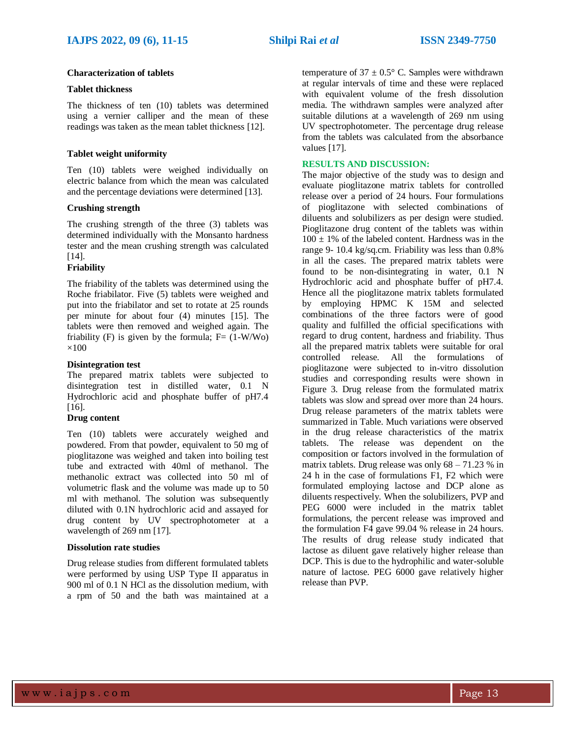## **Characterization of tablets**

## **Tablet thickness**

The thickness of ten (10) tablets was determined using a vernier calliper and the mean of these readings was taken as the mean tablet thickness [12].

## **Tablet weight uniformity**

Ten (10) tablets were weighed individually on electric balance from which the mean was calculated and the percentage deviations were determined [13].

#### **Crushing strength**

The crushing strength of the three (3) tablets was determined individually with the Monsanto hardness tester and the mean crushing strength was calculated [14].

# **Friability**

The friability of the tablets was determined using the Roche friabilator. Five (5) tablets were weighed and put into the friabilator and set to rotate at 25 rounds per minute for about four (4) minutes [15]. The tablets were then removed and weighed again. The friability (F) is given by the formula;  $F = (1-W/W<sub>O</sub>)$  $\times$ 100

# **Disintegration test**

The prepared matrix tablets were subjected to disintegration test in distilled water, 0.1 N Hydrochloric acid and phosphate buffer of pH7.4 [16].

#### **Drug content**

Ten (10) tablets were accurately weighed and powdered. From that powder, equivalent to 50 mg of pioglitazone was weighed and taken into boiling test tube and extracted with 40ml of methanol. The methanolic extract was collected into 50 ml of volumetric flask and the volume was made up to 50 ml with methanol. The solution was subsequently diluted with 0.1N hydrochloric acid and assayed for drug content by UV spectrophotometer at a wavelength of 269 nm [17].

#### **Dissolution rate studies**

Drug release studies from different formulated tablets were performed by using USP Type II apparatus in 900 ml of 0.1 N HCl as the dissolution medium, with a rpm of 50 and the bath was maintained at a

temperature of  $37 \pm 0.5^{\circ}$  C. Samples were withdrawn at regular intervals of time and these were replaced with equivalent volume of the fresh dissolution media. The withdrawn samples were analyzed after suitable dilutions at a wavelength of 269 nm using UV spectrophotometer. The percentage drug release from the tablets was calculated from the absorbance values [17].

## **RESULTS AND DISCUSSION:**

The major objective of the study was to design and evaluate pioglitazone matrix tablets for controlled release over a period of 24 hours. Four formulations of pioglitazone with selected combinations of diluents and solubilizers as per design were studied. Pioglitazone drug content of the tablets was within  $100 \pm 1\%$  of the labeled content. Hardness was in the range 9- 10.4 kg/sq.cm. Friability was less than 0.8% in all the cases. The prepared matrix tablets were found to be non-disintegrating in water, 0.1 N Hydrochloric acid and phosphate buffer of pH7.4. Hence all the pioglitazone matrix tablets formulated by employing HPMC K 15M and selected combinations of the three factors were of good quality and fulfilled the official specifications with regard to drug content, hardness and friability. Thus all the prepared matrix tablets were suitable for oral controlled release. All the formulations of pioglitazone were subjected to in-vitro dissolution studies and corresponding results were shown in Figure 3. Drug release from the formulated matrix tablets was slow and spread over more than 24 hours. Drug release parameters of the matrix tablets were summarized in Table. Much variations were observed in the drug release characteristics of the matrix tablets. The release was dependent on the composition or factors involved in the formulation of matrix tablets. Drug release was only  $68 - 71.23$  % in 24 h in the case of formulations F1, F2 which were formulated employing lactose and DCP alone as diluents respectively. When the solubilizers, PVP and PEG 6000 were included in the matrix tablet formulations, the percent release was improved and the formulation F4 gave 99.04 % release in 24 hours. The results of drug release study indicated that lactose as diluent gave relatively higher release than DCP. This is due to the hydrophilic and water-soluble nature of lactose. PEG 6000 gave relatively higher release than PVP.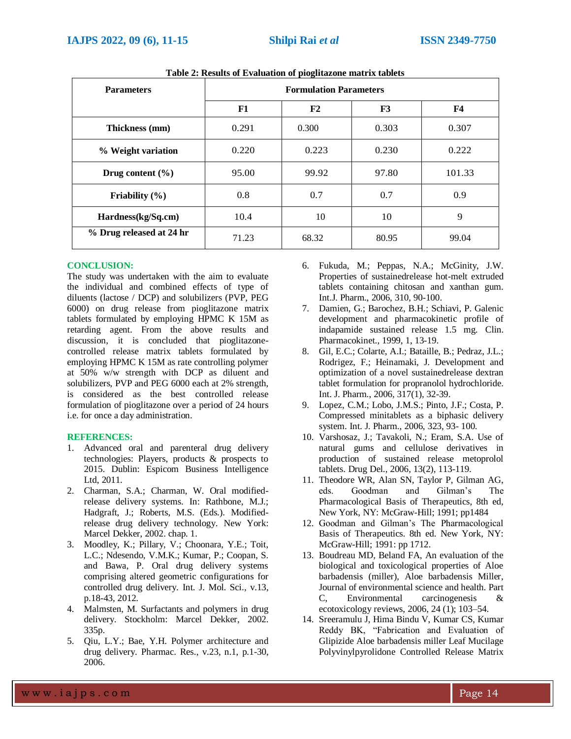| <b>Parameters</b>        | <b>Formulation Parameters</b> |       |       |           |  |
|--------------------------|-------------------------------|-------|-------|-----------|--|
|                          | F1                            | F2    | F3    | <b>F4</b> |  |
| Thickness (mm)           | 0.291                         | 0.300 | 0.303 | 0.307     |  |
| % Weight variation       | 0.220                         | 0.223 | 0.230 | 0.222     |  |
| Drug content $(\% )$     | 95.00                         | 99.92 | 97.80 | 101.33    |  |
| Friability $(\% )$       | 0.8                           | 0.7   | 0.7   | 0.9       |  |
| Hardness(kg/Sq.cm)       | 10.4                          | 10    | 10    | 9         |  |
| % Drug released at 24 hr | 71.23                         | 68.32 | 80.95 | 99.04     |  |

**Table 2: Results of Evaluation of pioglitazone matrix tablets**

#### **CONCLUSION:**

The study was undertaken with the aim to evaluate the individual and combined effects of type of diluents (lactose / DCP) and solubilizers (PVP, PEG 6000) on drug release from pioglitazone matrix tablets formulated by employing HPMC K 15M as retarding agent. From the above results and discussion, it is concluded that pioglitazonecontrolled release matrix tablets formulated by employing HPMC K 15M as rate controlling polymer at 50% w/w strength with DCP as diluent and solubilizers, PVP and PEG 6000 each at 2% strength, is considered as the best controlled release formulation of pioglitazone over a period of 24 hours i.e. for once a day administration.

#### **REFERENCES:**

- 1. Advanced oral and parenteral drug delivery technologies: Players, products & prospects to 2015. Dublin: Espicom Business Intelligence Ltd, 2011.
- 2. Charman, S.A.; Charman, W. Oral modifiedrelease delivery systems. In: Rathbone, M.J.; Hadgraft, J.; Roberts, M.S. (Eds.). Modifiedrelease drug delivery technology. New York: Marcel Dekker, 2002. chap. 1.
- 3. Moodley, K.; Pillary, V.; Choonara, Y.E.; Toit, L.C.; Ndesendo, V.M.K.; Kumar, P.; Coopan, S. and Bawa, P. Oral drug delivery systems comprising altered geometric configurations for controlled drug delivery. Int. J. Mol. Sci., v.13, p.18-43, 2012.
- 4. Malmsten, M. Surfactants and polymers in drug delivery. Stockholm: Marcel Dekker, 2002. 335p.
- 5. Qiu, L.Y.; Bae, Y.H. Polymer architecture and drug delivery. Pharmac. Res., v.23, n.1, p.1-30, 2006.
- 6. Fukuda, M.; Peppas, N.A.; McGinity, J.W. Properties of sustainedrelease hot-melt extruded tablets containing chitosan and xanthan gum. Int.J. Pharm., 2006, 310, 90-100.
- 7. Damien, G.; Barochez, B.H.; Schiavi, P. Galenic development and pharmacokinetic profile of indapamide sustained release 1.5 mg. Clin. Pharmacokinet., 1999, 1, 13-19.
- 8. Gil, E.C.; Colarte, A.I.; Bataille, B.; Pedraz, J.L.; Rodrigez, F.; Heinamaki, J. Development and optimization of a novel sustainedrelease dextran tablet formulation for propranolol hydrochloride. Int. J. Pharm., 2006, 317(1), 32-39.
- 9. Lopez, C.M.; Lobo, J.M.S.; Pinto, J.F.; Costa, P. Compressed minitablets as a biphasic delivery system. Int. J. Pharm., 2006, 323, 93- 100.
- 10. Varshosaz, J.; Tavakoli, N.; Eram, S.A. Use of natural gums and cellulose derivatives in production of sustained release metoprolol tablets. Drug Del., 2006, 13(2), 113-119.
- 11. Theodore WR, Alan SN, Taylor P, Gilman AG, eds. Goodman and Gilman's The Pharmacological Basis of Therapeutics, 8th ed, New York, NY: McGraw-Hill; 1991; pp1484
- 12. Goodman and Gilman's The Pharmacological Basis of Therapeutics. 8th ed. New York, NY: McGraw-Hill; 1991: pp 1712.
- 13. Boudreau MD, Beland FA, An evaluation of the biological and toxicological properties of Aloe barbadensis (miller), Aloe barbadensis Miller, Journal of environmental science and health. Part C, Environmental carcinogenesis & ecotoxicology reviews, 2006, 24 (1); 103–54.
- 14. Sreeramulu J, Hima Bindu V, Kumar CS, Kumar Reddy BK, "Fabrication and Evaluation of Glipizide Aloe barbadensis miller Leaf Mucilage Polyvinylpyrolidone Controlled Release Matrix